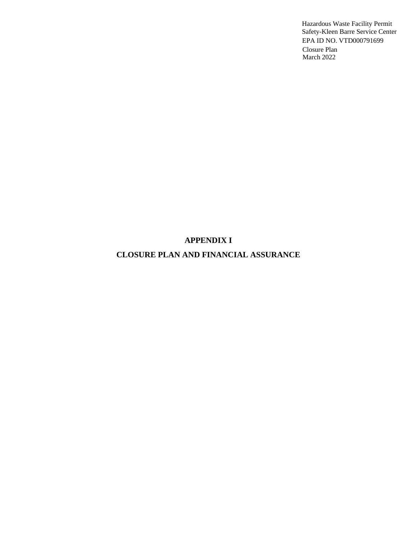## **APPENDIX I**

## **CLOSURE PLAN AND FINANCIAL ASSURANCE**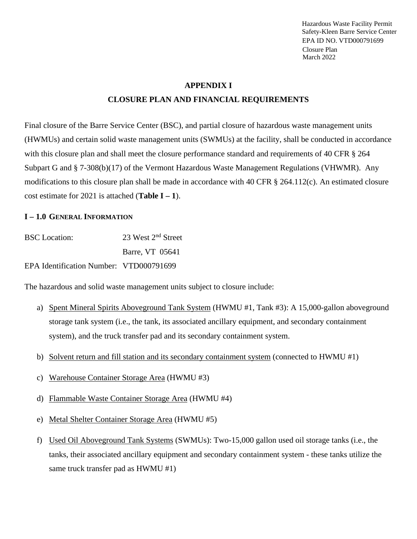#### **APPENDIX I**

#### **CLOSURE PLAN AND FINANCIAL REQUIREMENTS**

Final closure of the Barre Service Center (BSC), and partial closure of hazardous waste management units (HWMUs) and certain solid waste management units (SWMUs) at the facility, shall be conducted in accordance with this closure plan and shall meet the closure performance standard and requirements of 40 CFR § 264 Subpart G and § 7-308(b)(17) of the Vermont Hazardous Waste Management Regulations (VHWMR). Any modifications to this closure plan shall be made in accordance with 40 CFR § 264.112(c). An estimated closure cost estimate for 2021 is attached (**Table I** $-1$ ).

#### **I – 1.0 GENERAL INFORMATION**

| <b>BSC</b> Location:                    | 23 West 2 <sup>nd</sup> Street |
|-----------------------------------------|--------------------------------|
|                                         | Barre, VT 05641                |
| EPA Identification Number: VTD000791699 |                                |

The hazardous and solid waste management units subject to closure include:

- a) Spent Mineral Spirits Aboveground Tank System (HWMU #1, Tank #3): A 15,000-gallon aboveground storage tank system (i.e., the tank, its associated ancillary equipment, and secondary containment system), and the truck transfer pad and its secondary containment system.
- b) Solvent return and fill station and its secondary containment system (connected to HWMU #1)
- c) Warehouse Container Storage Area (HWMU #3)
- d) Flammable Waste Container Storage Area (HWMU #4)
- e) Metal Shelter Container Storage Area (HWMU #5)
- f) Used Oil Aboveground Tank Systems (SWMUs): Two-15,000 gallon used oil storage tanks (i.e., the tanks, their associated ancillary equipment and secondary containment system - these tanks utilize the same truck transfer pad as HWMU #1)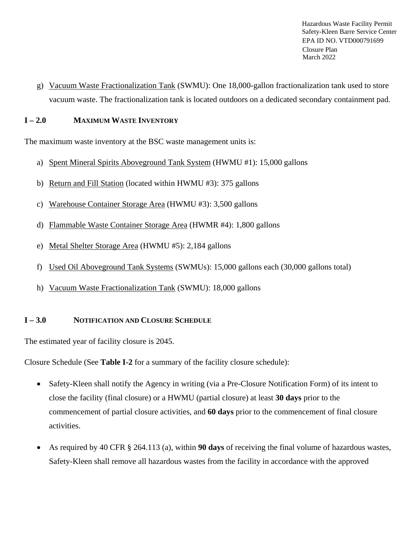g) Vacuum Waste Fractionalization Tank (SWMU): One 18,000-gallon fractionalization tank used to store vacuum waste. The fractionalization tank is located outdoors on a dedicated secondary containment pad.

## **I – 2.0 MAXIMUM WASTE INVENTORY**

The maximum waste inventory at the BSC waste management units is:

- a) Spent Mineral Spirits Aboveground Tank System (HWMU #1): 15,000 gallons
- b) Return and Fill Station (located within HWMU #3): 375 gallons
- c) Warehouse Container Storage Area (HWMU #3): 3,500 gallons
- d) Flammable Waste Container Storage Area (HWMR #4): 1,800 gallons
- e) Metal Shelter Storage Area (HWMU #5): 2,184 gallons
- f) Used Oil Aboveground Tank Systems (SWMUs): 15,000 gallons each (30,000 gallons total)
- h) Vacuum Waste Fractionalization Tank (SWMU): 18,000 gallons

## **I – 3.0 NOTIFICATION AND CLOSURE SCHEDULE**

The estimated year of facility closure is 2045.

Closure Schedule (See **Table I-2** for a summary of the facility closure schedule):

- Safety-Kleen shall notify the Agency in writing (via a Pre-Closure Notification Form) of its intent to close the facility (final closure) or a HWMU (partial closure) at least **30 days** prior to the commencement of partial closure activities, and **60 days** prior to the commencement of final closure activities.
- As required by 40 CFR § 264.113 (a), within **90 days** of receiving the final volume of hazardous wastes, Safety-Kleen shall remove all hazardous wastes from the facility in accordance with the approved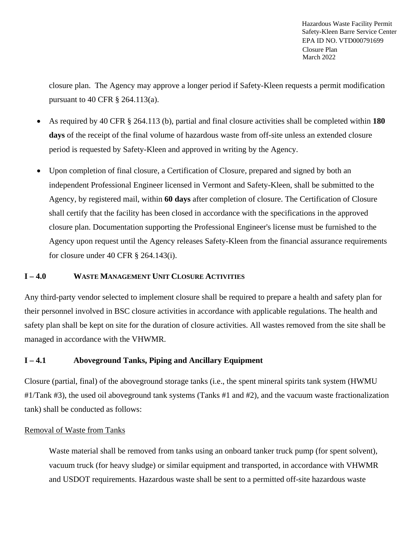closure plan. The Agency may approve a longer period if Safety-Kleen requests a permit modification pursuant to 40 CFR § 264.113(a).

- As required by 40 CFR § 264.113 (b), partial and final closure activities shall be completed within **180 days** of the receipt of the final volume of hazardous waste from off-site unless an extended closure period is requested by Safety-Kleen and approved in writing by the Agency.
- Upon completion of final closure, a Certification of Closure, prepared and signed by both an independent Professional Engineer licensed in Vermont and Safety-Kleen, shall be submitted to the Agency, by registered mail, within **60 days** after completion of closure. The Certification of Closure shall certify that the facility has been closed in accordance with the specifications in the approved closure plan. Documentation supporting the Professional Engineer's license must be furnished to the Agency upon request until the Agency releases Safety-Kleen from the financial assurance requirements for closure under 40 CFR § 264.143(i).

## **I – 4.0 WASTE MANAGEMENT UNIT CLOSURE ACTIVITIES**

Any third-party vendor selected to implement closure shall be required to prepare a health and safety plan for their personnel involved in BSC closure activities in accordance with applicable regulations. The health and safety plan shall be kept on site for the duration of closure activities. All wastes removed from the site shall be managed in accordance with the VHWMR.

## **I – 4.1 Aboveground Tanks, Piping and Ancillary Equipment**

Closure (partial, final) of the aboveground storage tanks (i.e., the spent mineral spirits tank system (HWMU #1/Tank #3), the used oil aboveground tank systems (Tanks #1 and #2), and the vacuum waste fractionalization tank) shall be conducted as follows:

#### Removal of Waste from Tanks

Waste material shall be removed from tanks using an onboard tanker truck pump (for spent solvent), vacuum truck (for heavy sludge) or similar equipment and transported, in accordance with VHWMR and USDOT requirements. Hazardous waste shall be sent to a permitted off-site hazardous waste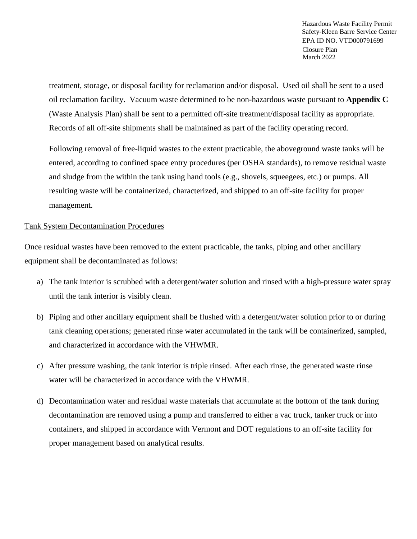treatment, storage, or disposal facility for reclamation and/or disposal. Used oil shall be sent to a used oil reclamation facility. Vacuum waste determined to be non-hazardous waste pursuant to **Appendix C** (Waste Analysis Plan) shall be sent to a permitted off-site treatment/disposal facility as appropriate. Records of all off-site shipments shall be maintained as part of the facility operating record.

Following removal of free-liquid wastes to the extent practicable, the aboveground waste tanks will be entered, according to confined space entry procedures (per OSHA standards), to remove residual waste and sludge from the within the tank using hand tools (e.g., shovels, squeegees, etc.) or pumps. All resulting waste will be containerized, characterized, and shipped to an off-site facility for proper management.

#### Tank System Decontamination Procedures

Once residual wastes have been removed to the extent practicable, the tanks, piping and other ancillary equipment shall be decontaminated as follows:

- a) The tank interior is scrubbed with a detergent/water solution and rinsed with a high-pressure water spray until the tank interior is visibly clean.
- b) Piping and other ancillary equipment shall be flushed with a detergent/water solution prior to or during tank cleaning operations; generated rinse water accumulated in the tank will be containerized, sampled, and characterized in accordance with the VHWMR.
- c) After pressure washing, the tank interior is triple rinsed. After each rinse, the generated waste rinse water will be characterized in accordance with the VHWMR.
- d) Decontamination water and residual waste materials that accumulate at the bottom of the tank during decontamination are removed using a pump and transferred to either a vac truck, tanker truck or into containers, and shipped in accordance with Vermont and DOT regulations to an off-site facility for proper management based on analytical results.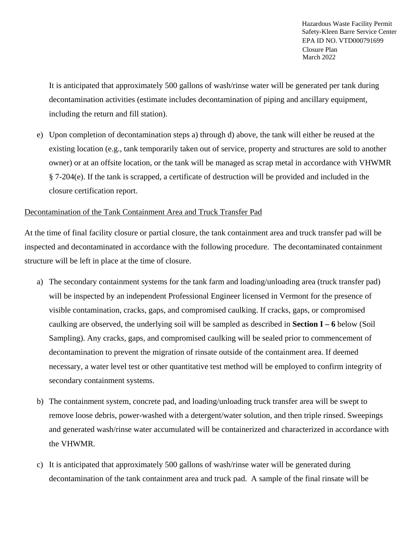It is anticipated that approximately 500 gallons of wash/rinse water will be generated per tank during decontamination activities (estimate includes decontamination of piping and ancillary equipment, including the return and fill station).

e) Upon completion of decontamination steps a) through d) above, the tank will either be reused at the existing location (e.g., tank temporarily taken out of service, property and structures are sold to another owner) or at an offsite location, or the tank will be managed as scrap metal in accordance with VHWMR § 7-204(e). If the tank is scrapped, a certificate of destruction will be provided and included in the closure certification report.

#### Decontamination of the Tank Containment Area and Truck Transfer Pad

At the time of final facility closure or partial closure, the tank containment area and truck transfer pad will be inspected and decontaminated in accordance with the following procedure. The decontaminated containment structure will be left in place at the time of closure.

- a) The secondary containment systems for the tank farm and loading/unloading area (truck transfer pad) will be inspected by an independent Professional Engineer licensed in Vermont for the presence of visible contamination, cracks, gaps, and compromised caulking. If cracks, gaps, or compromised caulking are observed, the underlying soil will be sampled as described in **Section I – 6** below (Soil Sampling). Any cracks, gaps, and compromised caulking will be sealed prior to commencement of decontamination to prevent the migration of rinsate outside of the containment area. If deemed necessary, a water level test or other quantitative test method will be employed to confirm integrity of secondary containment systems.
- b) The containment system, concrete pad, and loading/unloading truck transfer area will be swept to remove loose debris, power-washed with a detergent/water solution, and then triple rinsed. Sweepings and generated wash/rinse water accumulated will be containerized and characterized in accordance with the VHWMR.
- c) It is anticipated that approximately 500 gallons of wash/rinse water will be generated during decontamination of the tank containment area and truck pad. A sample of the final rinsate will be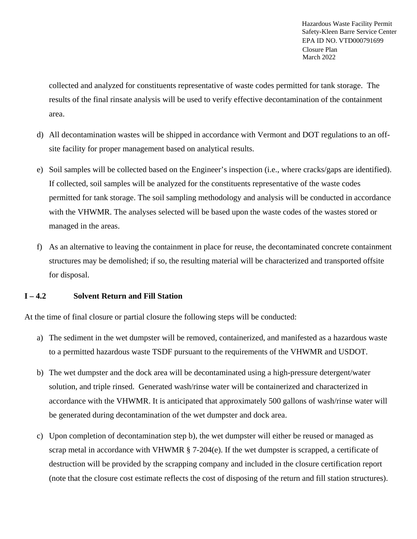collected and analyzed for constituents representative of waste codes permitted for tank storage. The results of the final rinsate analysis will be used to verify effective decontamination of the containment area.

- d) All decontamination wastes will be shipped in accordance with Vermont and DOT regulations to an offsite facility for proper management based on analytical results.
- e) Soil samples will be collected based on the Engineer's inspection (i.e., where cracks/gaps are identified). If collected, soil samples will be analyzed for the constituents representative of the waste codes permitted for tank storage. The soil sampling methodology and analysis will be conducted in accordance with the VHWMR. The analyses selected will be based upon the waste codes of the wastes stored or managed in the areas.
- f) As an alternative to leaving the containment in place for reuse, the decontaminated concrete containment structures may be demolished; if so, the resulting material will be characterized and transported offsite for disposal.

#### **I – 4.2 Solvent Return and Fill Station**

At the time of final closure or partial closure the following steps will be conducted:

- a) The sediment in the wet dumpster will be removed, containerized, and manifested as a hazardous waste to a permitted hazardous waste TSDF pursuant to the requirements of the VHWMR and USDOT.
- b) The wet dumpster and the dock area will be decontaminated using a high-pressure detergent/water solution, and triple rinsed. Generated wash/rinse water will be containerized and characterized in accordance with the VHWMR. It is anticipated that approximately 500 gallons of wash/rinse water will be generated during decontamination of the wet dumpster and dock area.
- c) Upon completion of decontamination step b), the wet dumpster will either be reused or managed as scrap metal in accordance with VHWMR § 7-204(e). If the wet dumpster is scrapped, a certificate of destruction will be provided by the scrapping company and included in the closure certification report (note that the closure cost estimate reflects the cost of disposing of the return and fill station structures).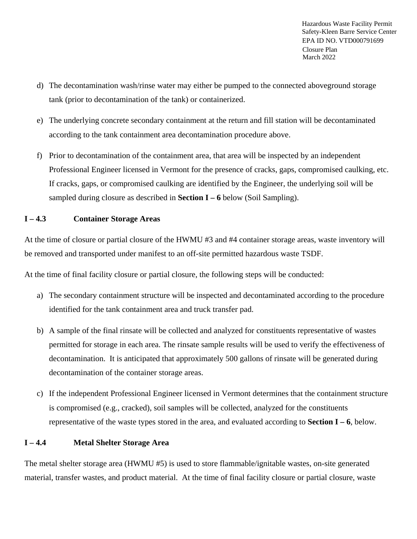- d) The decontamination wash/rinse water may either be pumped to the connected aboveground storage tank (prior to decontamination of the tank) or containerized.
- e) The underlying concrete secondary containment at the return and fill station will be decontaminated according to the tank containment area decontamination procedure above.
- f) Prior to decontamination of the containment area, that area will be inspected by an independent Professional Engineer licensed in Vermont for the presence of cracks, gaps, compromised caulking, etc. If cracks, gaps, or compromised caulking are identified by the Engineer, the underlying soil will be sampled during closure as described in **Section I – 6** below (Soil Sampling).

## **I – 4.3 Container Storage Areas**

At the time of closure or partial closure of the HWMU #3 and #4 container storage areas, waste inventory will be removed and transported under manifest to an off-site permitted hazardous waste TSDF.

At the time of final facility closure or partial closure, the following steps will be conducted:

- a) The secondary containment structure will be inspected and decontaminated according to the procedure identified for the tank containment area and truck transfer pad.
- b) A sample of the final rinsate will be collected and analyzed for constituents representative of wastes permitted for storage in each area. The rinsate sample results will be used to verify the effectiveness of decontamination. It is anticipated that approximately 500 gallons of rinsate will be generated during decontamination of the container storage areas.
- c) If the independent Professional Engineer licensed in Vermont determines that the containment structure is compromised (e.g., cracked), soil samples will be collected, analyzed for the constituents representative of the waste types stored in the area, and evaluated according to **Section I – 6**, below.

#### **I – 4.4 Metal Shelter Storage Area**

The metal shelter storage area (HWMU #5) is used to store flammable/ignitable wastes, on-site generated material, transfer wastes, and product material. At the time of final facility closure or partial closure, waste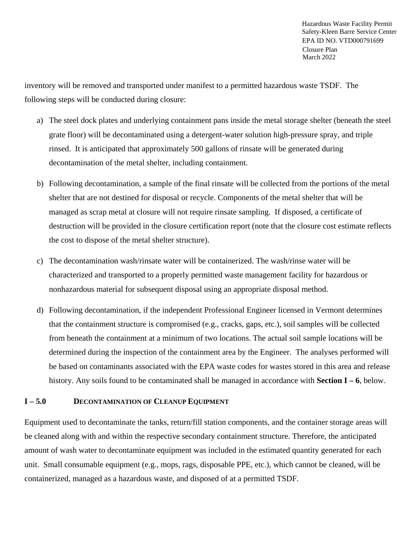inventory will be removed and transported under manifest to a permitted hazardous waste TSDF. The following steps will be conducted during closure:

- a) The steel dock plates and underlying containment pans inside the metal storage shelter (beneath the steel grate floor) will be decontaminated using a detergent-water solution high-pressure spray, and triple rinsed. It is anticipated that approximately 500 gallons of rinsate will be generated during decontamination of the metal shelter, including containment.
- b) Following decontamination, a sample of the final rinsate will be collected from the portions of the metal shelter that are not destined for disposal or recycle. Components of the metal shelter that will be managed as scrap metal at closure will not require rinsate sampling. If disposed, a certificate of destruction will be provided in the closure certification report (note that the closure cost estimate reflects the cost to dispose of the metal shelter structure).
- c) The decontamination wash/rinsate water will be containerized. The wash/rinse water will be characterized and transported to a properly permitted waste management facility for hazardous or nonhazardous material for subsequent disposal using an appropriate disposal method.
- d) Following decontamination, if the independent Professional Engineer licensed in Vermont determines that the containment structure is compromised (e.g., cracks, gaps, etc.), soil samples will be collected from beneath the containment at a minimum of two locations. The actual soil sample locations will be determined during the inspection of the containment area by the Engineer. The analyses performed will be based on contaminants associated with the EPA waste codes for wastes stored in this area and release history. Any soils found to be contaminated shall be managed in accordance with **Section I – 6**, below.

#### **I – 5.0 DECONTAMINATION OF CLEANUP EQUIPMENT**

Equipment used to decontaminate the tanks, return/fill station components, and the container storage areas will be cleaned along with and within the respective secondary containment structure. Therefore, the anticipated amount of wash water to decontaminate equipment was included in the estimated quantity generated for each unit. Small consumable equipment (e.g., mops, rags, disposable PPE, etc.), which cannot be cleaned, will be containerized, managed as a hazardous waste, and disposed of at a permitted TSDF.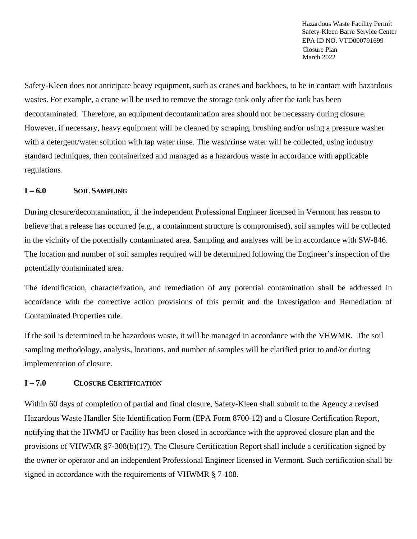Safety-Kleen does not anticipate heavy equipment, such as cranes and backhoes, to be in contact with hazardous wastes. For example, a crane will be used to remove the storage tank only after the tank has been decontaminated. Therefore, an equipment decontamination area should not be necessary during closure. However, if necessary, heavy equipment will be cleaned by scraping, brushing and/or using a pressure washer with a detergent/water solution with tap water rinse. The wash/rinse water will be collected, using industry standard techniques, then containerized and managed as a hazardous waste in accordance with applicable regulations.

#### **I – 6.0 SOIL SAMPLING**

During closure/decontamination, if the independent Professional Engineer licensed in Vermont has reason to believe that a release has occurred (e.g., a containment structure is compromised), soil samples will be collected in the vicinity of the potentially contaminated area. Sampling and analyses will be in accordance with SW-846. The location and number of soil samples required will be determined following the Engineer's inspection of the potentially contaminated area.

The identification, characterization, and remediation of any potential contamination shall be addressed in accordance with the corrective action provisions of this permit and the Investigation and Remediation of Contaminated Properties rule.

If the soil is determined to be hazardous waste, it will be managed in accordance with the VHWMR. The soil sampling methodology, analysis, locations, and number of samples will be clarified prior to and/or during implementation of closure.

## **I – 7.0 CLOSURE CERTIFICATION**

Within 60 days of completion of partial and final closure, Safety-Kleen shall submit to the Agency a revised Hazardous Waste Handler Site Identification Form (EPA Form 8700-12) and a Closure Certification Report, notifying that the HWMU or Facility has been closed in accordance with the approved closure plan and the provisions of VHWMR §7-308(b)(17). The Closure Certification Report shall include a certification signed by the owner or operator and an independent Professional Engineer licensed in Vermont. Such certification shall be signed in accordance with the requirements of VHWMR § 7-108.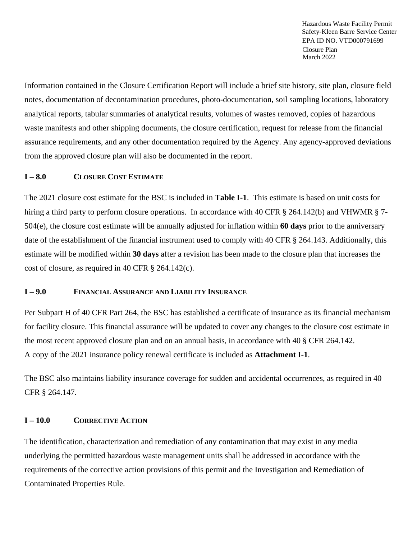Information contained in the Closure Certification Report will include a brief site history, site plan, closure field notes, documentation of decontamination procedures, photo-documentation, soil sampling locations, laboratory analytical reports, tabular summaries of analytical results, volumes of wastes removed, copies of hazardous waste manifests and other shipping documents, the closure certification, request for release from the financial assurance requirements, and any other documentation required by the Agency. Any agency-approved deviations from the approved closure plan will also be documented in the report.

#### **I – 8.0 CLOSURE COST ESTIMATE**

The 2021 closure cost estimate for the BSC is included in **Table I-1**. This estimate is based on unit costs for hiring a third party to perform closure operations. In accordance with 40 CFR § 264.142(b) and VHWMR § 7-504(e), the closure cost estimate will be annually adjusted for inflation within **60 days** prior to the anniversary date of the establishment of the financial instrument used to comply with 40 CFR § 264.143. Additionally, this estimate will be modified within **30 days** after a revision has been made to the closure plan that increases the cost of closure, as required in 40 CFR § 264.142(c).

#### **I – 9.0 FINANCIAL ASSURANCE AND LIABILITY INSURANCE**

Per Subpart H of 40 CFR Part 264, the BSC has established a certificate of insurance as its financial mechanism for facility closure. This financial assurance will be updated to cover any changes to the closure cost estimate in the most recent approved closure plan and on an annual basis, in accordance with 40 § CFR 264.142. A copy of the 2021 insurance policy renewal certificate is included as **Attachment I-1**.

The BSC also maintains liability insurance coverage for sudden and accidental occurrences, as required in 40 CFR § 264.147.

#### **I – 10.0 CORRECTIVE ACTION**

The identification, characterization and remediation of any contamination that may exist in any media underlying the permitted hazardous waste management units shall be addressed in accordance with the requirements of the corrective action provisions of this permit and the Investigation and Remediation of Contaminated Properties Rule.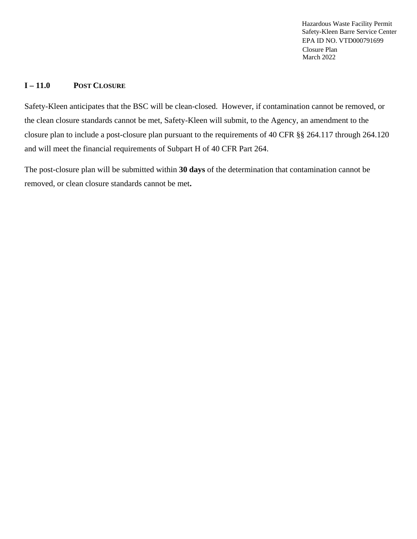#### **I – 11.0 POST CLOSURE**

Safety-Kleen anticipates that the BSC will be clean-closed. However, if contamination cannot be removed, or the clean closure standards cannot be met, Safety-Kleen will submit, to the Agency, an amendment to the closure plan to include a post-closure plan pursuant to the requirements of 40 CFR §§ 264.117 through 264.120 and will meet the financial requirements of Subpart H of 40 CFR Part 264.

The post-closure plan will be submitted within **30 days** of the determination that contamination cannot be removed, or clean closure standards cannot be met**.**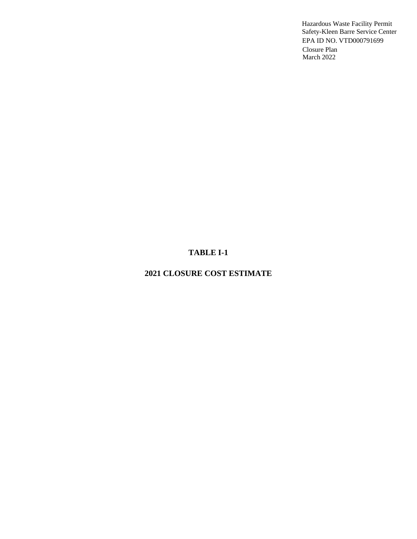# **TABLE I-1**

# **2021 CLOSURE COST ESTIMATE**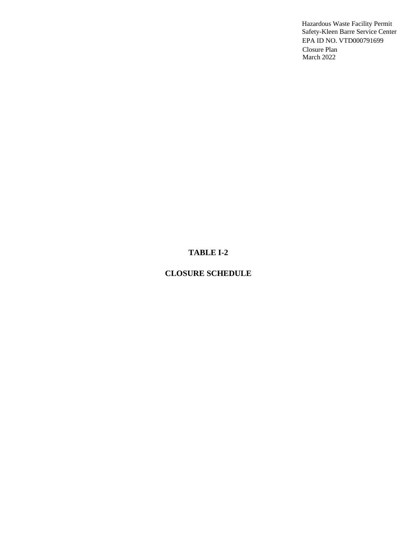# **TABLE I-2**

## **CLOSURE SCHEDULE**